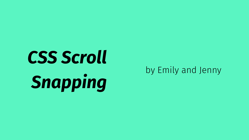## CSS Scroll Snapping

#### by Emily and Jenny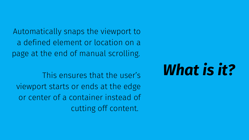Automatically snaps the viewport to a defined element or location on a page at the end of manual scrolling.

This ensures that the user's viewport starts or ends at the edge or center of a container instead of cutting off content.

### *What is it?*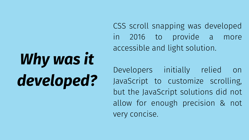CSS scroll snapping was developed in 2016 to provide a more accessible and light solution.

Developers initially relied on JavaScript to customize scrolling, but the JavaScript solutions did not allow for enough precision & not very concise.

*Why was it developed?*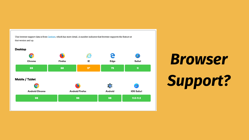This browser support data is from Caniuse, which has more detail. A number indicates that browser supports the feature at that version and up.



## *Browser Support?*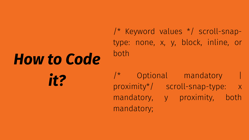#### /\* Keyword values \*/ scroll-snaptype: none, x, y, block, inline, or

both

#### /\* Optional mandatory | proximity\*/ scroll-snap-type: x mandatory, y proximity, both

mandatory;

# *How to Code it?*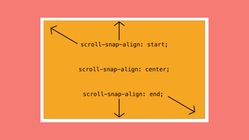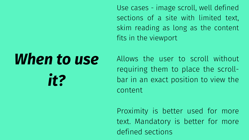## *When to use it?*

Use cases - image scroll, well defined sections of a site with limited text, skim reading as long as the content fits in the viewport

Allows the user to scroll without requiring them to place the scrollbar in an exact position to view the content

Proximity is better used for more text. Mandatory is better for more defined sections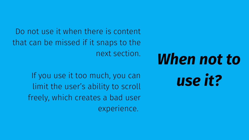Do not use it when there is content that can be missed if it snaps to the next section.

> If you use it too much, you can limit the user's ability to scroll freely, which creates a bad user experience.

### *When not to use it?*